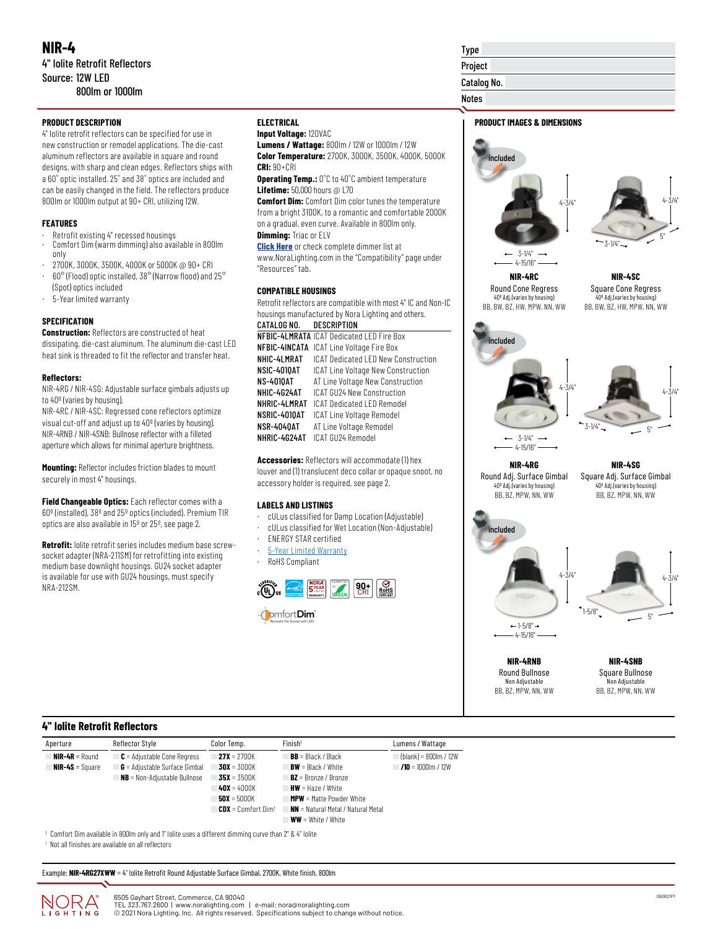## **PRODUCT DESCRIPTION**

4" Iolite retrofit reflectors can be specified for use in new construction or remodel applications. The die-cast aluminum reflectors are available in square and round designs, with sharp and clean edges. Reflectors ships with a 60˚ optic installed, 25˚ and 38˚ optics are included and can be easily changed in the field. The reflectors produce 800lm or 1000lm output at 90+ CRI, utilizing 12W.

#### **FEATURES**

- Retrofit existing 4" recessed housings
- Comfort Dim (warm dimming) also available in 800lm only
- · 2700K, 3000K, 3500K, 4000K or 5000K @ 90+ CRI
- · 60° (Flood) optic installed, 38° (Narrow flood) and 25° (Spot) optics included
- · 5-Year limited warranty

#### **SPECIFICATION**

**Construction:** Reflectors are constructed of heat dissipating, die-cast aluminum. The aluminum die-cast LED heat sink is threaded to fit the reflector and transfer heat.

#### **Reflectors:**

NIR-4RG / NIR-4SG: Adjustable surface gimbals adjusts up to 40º (varies by housing).

NIR-4RC / NIR-4SC: Regressed cone reflectors optimize visual cut-off and adjust up to 40º (varies by housing). NIR-4RNB / NIR-4SNB: Bullnose reflector with a filleted aperture which allows for minimal aperture brightness.

**Mounting:** Reflector includes friction blades to mount securely in most 4" housings.

**Field Changeable Optics:** Each reflector comes with a 60º (installed), 38º and 25º optics (included). Premium TIR optics are also available in 15º or 25º, see page 2.

**Retrofit:** Iolite retrofit series includes medium base screwsocket adapter (NRA-211SM) for retrofitting into existing medium base downlight housings. GU24 socket adapter is available for use with GU24 housings, must specify NRA-212SM.

## **ELECTRICAL**

## **Input Voltage:** 120VAC

**Lumens / Wattage:** 800lm / 12W or 1000lm / 12W **Color Temperature:** 2700K, 3000K, 3500K, 4000K, 5000K **CRI:** 90+CRI

**Operating Temp.:** 0˚C to 40˚C ambient temperature **Lifetime:** 50,000 hours @ L70

**Comfort Dim:** Comfort Dim color tunes the temperature from a bright 3100K, to a romantic and comfortable 2000K on a gradual, even curve. Available in 800lm only. **Dimming:** Triac or ELV

**[Click Here](https://noralighting.com/resources/compatibility/)** or check complete dimmer list at www.NoraLighting.com in the "Compatibility" page under "Resources" tab.

#### **COMPATIBLE HOUSINGS**

Retrofit reflectors are compatible with most 4" IC and Non-IC housings manufactured by Nora Lighting and others.

| CATALOG NO. DESCRIPTION |                                                  |
|-------------------------|--------------------------------------------------|
|                         | <b>NFBIC-4LMRATA ICAT Dedicated LED Fire Box</b> |
|                         | <b>NFBIC-4INCATA</b> ICAT Line Voltage Fire Box  |
| NHIC-4LMRAT             | ICAT Dedicated LED New Construction              |
| NSIC-4010AT             | ICAT Line Voltage New Construction               |
| NS-4010AT               | AT Line Voltage New Construction                 |
| NHIC-4G24AT             | ICAT GU24 New Construction                       |
| NHRIC-4LMRAT            | ICAT Dedicated LED Remodel                       |
| NSRIC-4010AT            | ICAT Line Voltage Remodel                        |
| NSR-4040AT              | AT Line Voltage Remodel                          |
| NHRIC-4G24AT            | ICAT GU24 Remodel                                |

**Accessories:** Reflectors will accommodate (1) hex louver and (1) translucent deco collar or opaque snoot, no accessory holder is required, see page 2.

#### **LABELS AND LISTINGS**

- · cULus classified for Damp Location (Adjustable)
- · cULus classified for Wet Location (Non-Adjustable)
- **ENERGY STAR certified**
- · [5-Year Limited Warranty](https://noralighting.com/wp-content/uploads/2019/02/Limited-Warranty-Five-Year.pdf)
- RoHS Compliant



Project Catalog No. Notes

# **PRODUCT IMAGES & DIMENSIONS**

Type





**NIR-4RC** Round Cone Regress 40º Adj.(varies by housing) BB, BW, BZ, HW, MPW, NN, WW

**NIR-4SC** Square Cone Regress 40º Adj.(varies by housing) BB, BW, BZ, HW, MPW, NN, WW





**NIR-4RG** Round Adj. Surface Gimbal 40º Adj.(varies by housing) BB, BZ, MPW, NN, WW

**NIR-4SG** Square Adj. Surface Gimbal 40º Adj.(varies by housing) BB, BZ, MPW, NN, WW



**NIR-4RNB** Round Bullnose Non Adjustable BB, BZ, MPW, NN, WW

**NIR-4SNB** Square Bullnose Non Adjustable BB, BZ, MPW, NN, WW

## **4" Iolite Retrofit Reflectors**

| Aperture                                                                                               | Reflector Style                        | Color Temp.                 | Finish <sup>1</sup>                       | Lumens / Wattage        |  |
|--------------------------------------------------------------------------------------------------------|----------------------------------------|-----------------------------|-------------------------------------------|-------------------------|--|
| $NIR-4R =$ Round                                                                                       | $\mathsf{C}$ = Adjustable Cone Regress | <b>27X</b> = 2700K          | $BB = Black / Black$                      | $(blank) = 800lm / 12W$ |  |
| $NIR-4S = Square$                                                                                      | $G =$ Adjustable Surface Gimbal        | $30X = 3000K$               | $BW = Black / White$                      | $1/10 = 1000$ m / 12W   |  |
|                                                                                                        | $NB = Non-Adjustable Bulhose$          | $35X = 3500K$               | $BZ =$ Bronze / Bronze                    |                         |  |
|                                                                                                        |                                        | $40X = 4000K$               | $HW = \text{Haze}$ / White                |                         |  |
|                                                                                                        |                                        | $50X = 5000K$               | <b>MPW</b> = Matte Powder White           |                         |  |
|                                                                                                        |                                        | <b>CDX</b> = Comfort $Dim†$ | <b>NN</b> = Natural Metal / Natural Metal |                         |  |
|                                                                                                        |                                        |                             | $WW = White / White$                      |                         |  |
| t Candart Bins analished in OOOm published Wildles maas a different dimmine annual than OWO 18 Jalita. |                                        |                             |                                           |                         |  |

ses a different dimming curve than 2" & 4" Iolite 1 Not all finishes are available on all reflectors

Example: **NIR-4RG27XWW** = 4" Iolite Retrofit Round Adjustable Surface Gimbal, 2700K, White finish, 800lm

ING

6505 Gayhart Street, Commerce, CA 90040 TEL 323.767.2600 | www.noralighting.com | e-mail: nora@noralighting.com © 2021 Nora Lighting, Inc. All rights reserved. Specifications subject to change without notice.